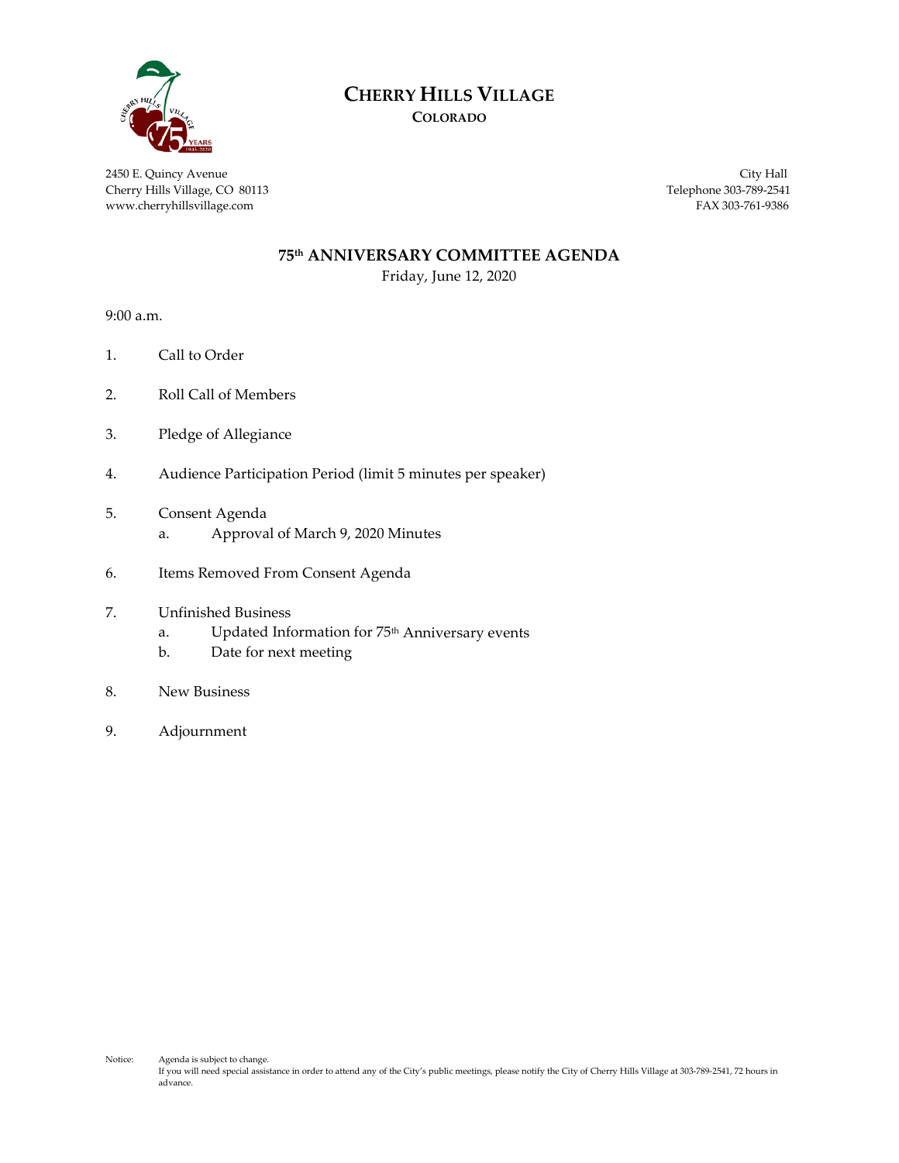

# **CHERRY HILLS VILLAGE**

**COLORADO**

2450 E. Quincy Avenue City Hall Cherry Hills Village, CO 80113 Telephone 303-789-2541 www.cherryhillsvillage.com FAX 303-761-9386

#### **75th ANNIVERSARY COMMITTEE AGENDA**

Friday, June 12, 2020

9:00 a.m.

- 1. Call to Order
- 2. Roll Call of Members
- 3. Pledge of Allegiance
- 4. Audience Participation Period (limit 5 minutes per speaker)
- 5. Consent Agenda
	- a. Approval of March 9, 2020 Minutes
- 6. Items Removed From Consent Agenda
- 7. Unfinished Business
	- a. Updated Information for 75<sup>th</sup> Anniversary events
	- b. Date for next meeting
- 8. New Business
- 9. Adjournment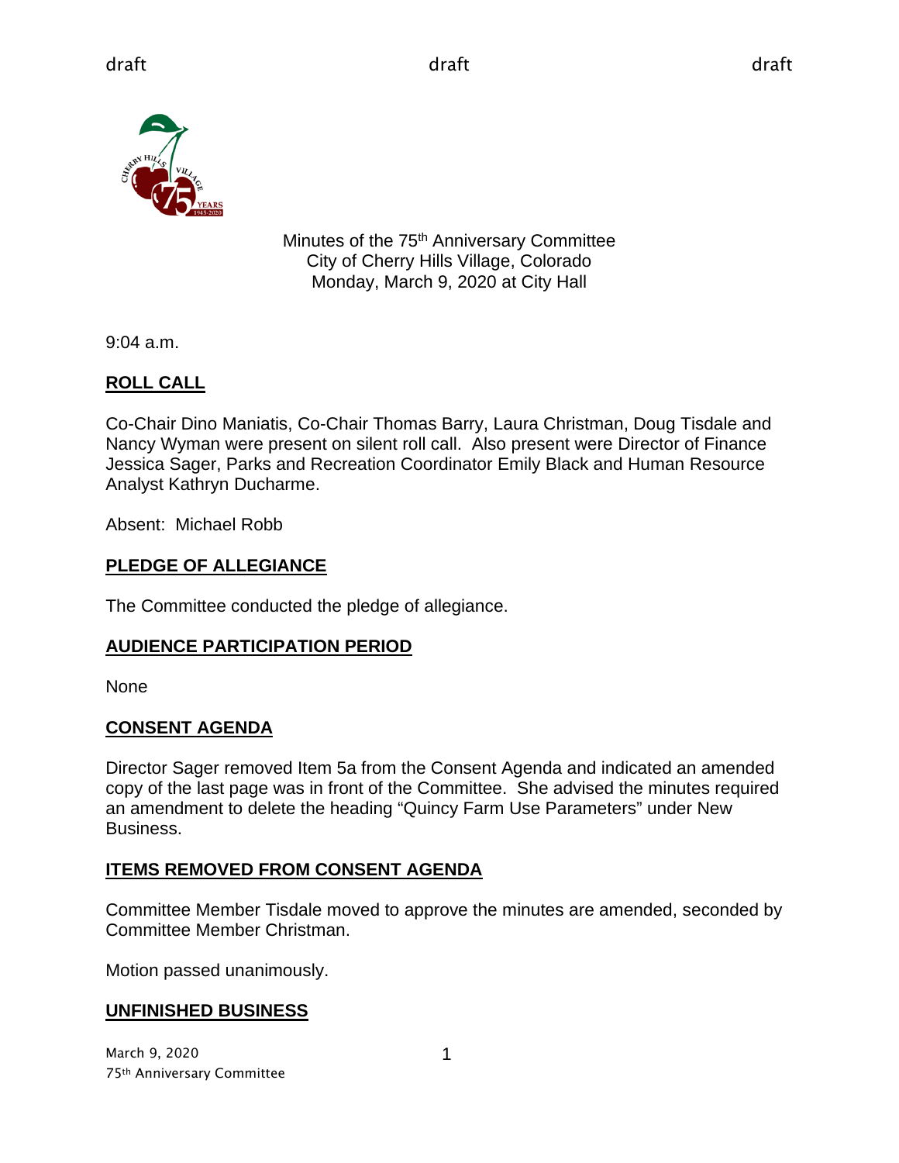

Minutes of the 75<sup>th</sup> Anniversary Committee City of Cherry Hills Village, Colorado Monday, March 9, 2020 at City Hall

9:04 a.m.

# **ROLL CALL**

Co-Chair Dino Maniatis, Co-Chair Thomas Barry, Laura Christman, Doug Tisdale and Nancy Wyman were present on silent roll call. Also present were Director of Finance Jessica Sager, Parks and Recreation Coordinator Emily Black and Human Resource Analyst Kathryn Ducharme.

Absent: Michael Robb

### **PLEDGE OF ALLEGIANCE**

The Committee conducted the pledge of allegiance.

# **AUDIENCE PARTICIPATION PERIOD**

None

#### **CONSENT AGENDA**

Director Sager removed Item 5a from the Consent Agenda and indicated an amended copy of the last page was in front of the Committee. She advised the minutes required an amendment to delete the heading "Quincy Farm Use Parameters" under New Business.

#### **ITEMS REMOVED FROM CONSENT AGENDA**

Committee Member Tisdale moved to approve the minutes are amended, seconded by Committee Member Christman.

Motion passed unanimously.

# **UNFINISHED BUSINESS**

March 9, 2020 75th Anniversary Committee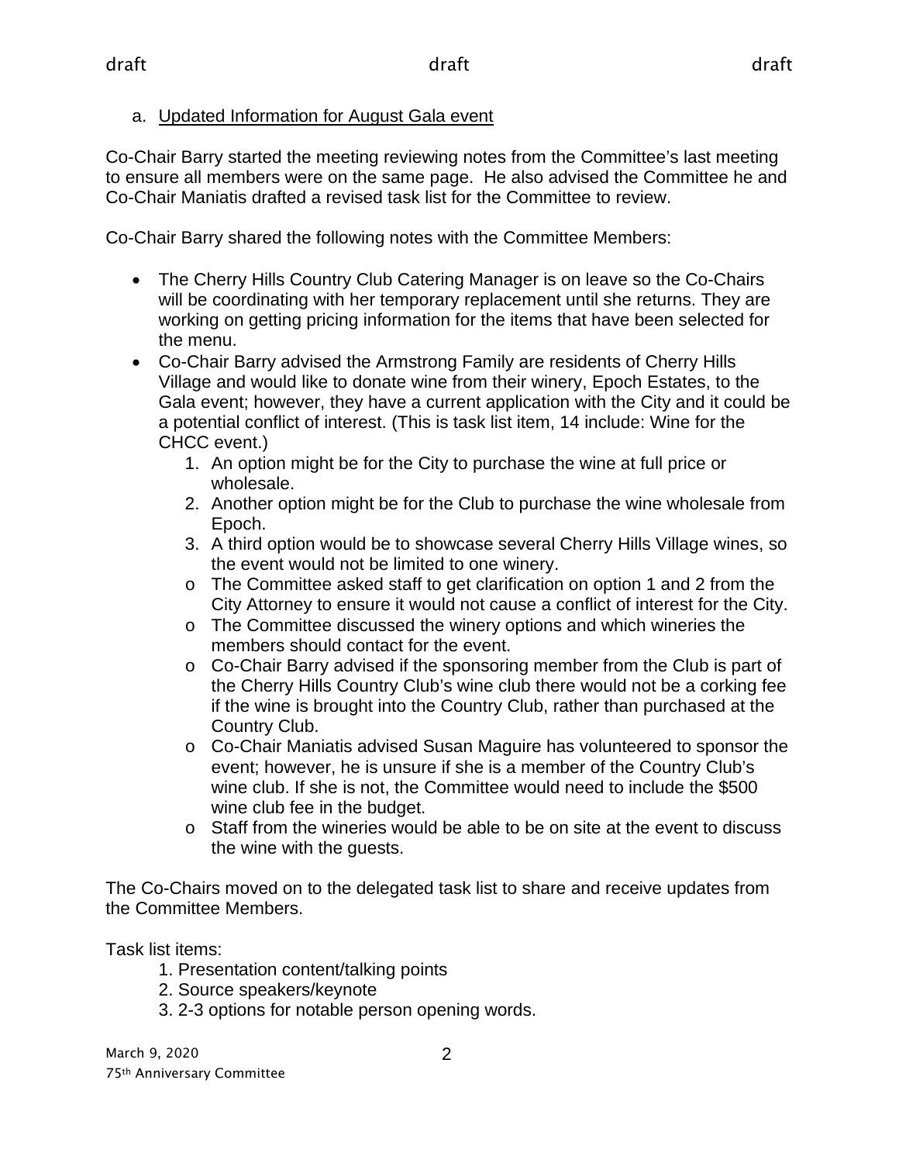a. Updated Information for August Gala event

Co-Chair Barry started the meeting reviewing notes from the Committee's last meeting to ensure all members were on the same page. He also advised the Committee he and Co-Chair Maniatis drafted a revised task list for the Committee to review.

Co-Chair Barry shared the following notes with the Committee Members:

- The Cherry Hills Country Club Catering Manager is on leave so the Co-Chairs will be coordinating with her temporary replacement until she returns. They are working on getting pricing information for the items that have been selected for the menu.
- Co-Chair Barry advised the Armstrong Family are residents of Cherry Hills Village and would like to donate wine from their winery, Epoch Estates, to the Gala event; however, they have a current application with the City and it could be a potential conflict of interest. (This is task list item, 14 include: Wine for the CHCC event.)
	- 1. An option might be for the City to purchase the wine at full price or wholesale.
	- 2. Another option might be for the Club to purchase the wine wholesale from Epoch.
	- 3. A third option would be to showcase several Cherry Hills Village wines, so the event would not be limited to one winery.
	- o The Committee asked staff to get clarification on option 1 and 2 from the City Attorney to ensure it would not cause a conflict of interest for the City.
	- $\circ$  The Committee discussed the winery options and which wineries the members should contact for the event.
	- o Co-Chair Barry advised if the sponsoring member from the Club is part of the Cherry Hills Country Club's wine club there would not be a corking fee if the wine is brought into the Country Club, rather than purchased at the Country Club.
	- o Co-Chair Maniatis advised Susan Maguire has volunteered to sponsor the event; however, he is unsure if she is a member of the Country Club's wine club. If she is not, the Committee would need to include the \$500 wine club fee in the budget.
	- o Staff from the wineries would be able to be on site at the event to discuss the wine with the guests.

The Co-Chairs moved on to the delegated task list to share and receive updates from the Committee Members.

Task list items:

- 1. Presentation content/talking points
- 2. Source speakers/keynote
- 3. 2-3 options for notable person opening words.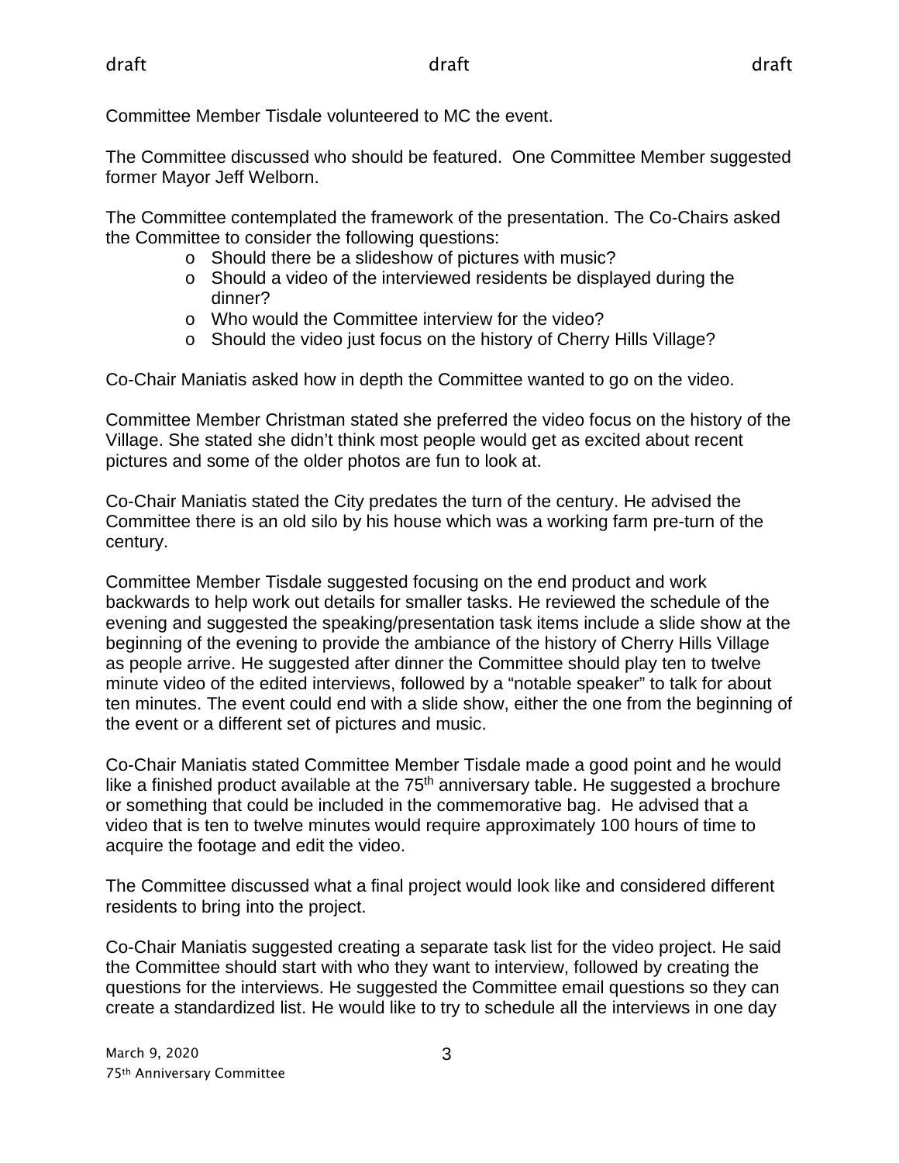Committee Member Tisdale volunteered to MC the event.

The Committee discussed who should be featured. One Committee Member suggested former Mayor Jeff Welborn.

The Committee contemplated the framework of the presentation. The Co-Chairs asked the Committee to consider the following questions:

- o Should there be a slideshow of pictures with music?
- o Should a video of the interviewed residents be displayed during the dinner?
- o Who would the Committee interview for the video?
- o Should the video just focus on the history of Cherry Hills Village?

Co-Chair Maniatis asked how in depth the Committee wanted to go on the video.

Committee Member Christman stated she preferred the video focus on the history of the Village. She stated she didn't think most people would get as excited about recent pictures and some of the older photos are fun to look at.

Co-Chair Maniatis stated the City predates the turn of the century. He advised the Committee there is an old silo by his house which was a working farm pre-turn of the century.

Committee Member Tisdale suggested focusing on the end product and work backwards to help work out details for smaller tasks. He reviewed the schedule of the evening and suggested the speaking/presentation task items include a slide show at the beginning of the evening to provide the ambiance of the history of Cherry Hills Village as people arrive. He suggested after dinner the Committee should play ten to twelve minute video of the edited interviews, followed by a "notable speaker" to talk for about ten minutes. The event could end with a slide show, either the one from the beginning of the event or a different set of pictures and music.

Co-Chair Maniatis stated Committee Member Tisdale made a good point and he would like a finished product available at the  $75<sup>th</sup>$  anniversary table. He suggested a brochure or something that could be included in the commemorative bag. He advised that a video that is ten to twelve minutes would require approximately 100 hours of time to acquire the footage and edit the video.

The Committee discussed what a final project would look like and considered different residents to bring into the project.

Co-Chair Maniatis suggested creating a separate task list for the video project. He said the Committee should start with who they want to interview, followed by creating the questions for the interviews. He suggested the Committee email questions so they can create a standardized list. He would like to try to schedule all the interviews in one day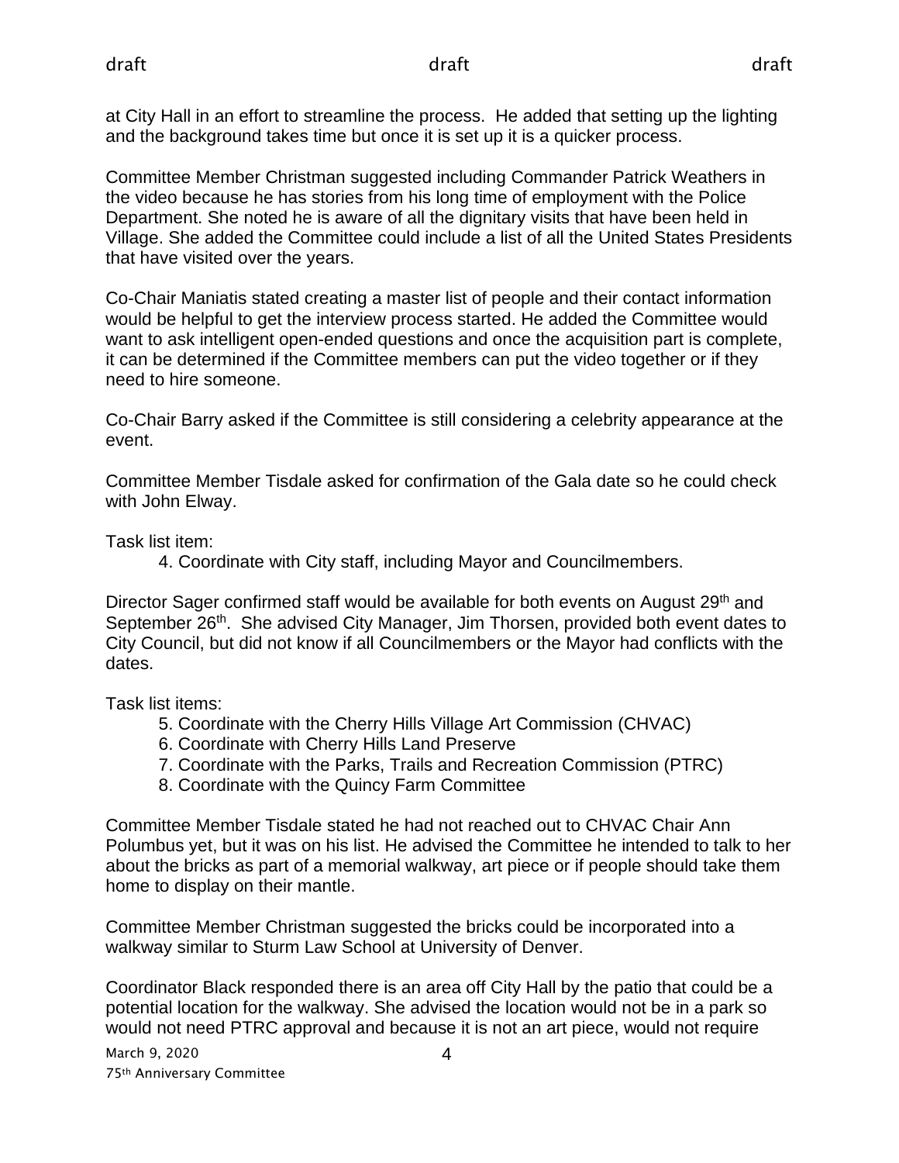at City Hall in an effort to streamline the process. He added that setting up the lighting and the background takes time but once it is set up it is a quicker process.

Committee Member Christman suggested including Commander Patrick Weathers in the video because he has stories from his long time of employment with the Police Department. She noted he is aware of all the dignitary visits that have been held in Village. She added the Committee could include a list of all the United States Presidents that have visited over the years.

Co-Chair Maniatis stated creating a master list of people and their contact information would be helpful to get the interview process started. He added the Committee would want to ask intelligent open-ended questions and once the acquisition part is complete, it can be determined if the Committee members can put the video together or if they need to hire someone.

Co-Chair Barry asked if the Committee is still considering a celebrity appearance at the event.

Committee Member Tisdale asked for confirmation of the Gala date so he could check with John Elway.

Task list item:

4. Coordinate with City staff, including Mayor and Councilmembers.

Director Sager confirmed staff would be available for both events on August 29<sup>th</sup> and September 26<sup>th</sup>. She advised City Manager, Jim Thorsen, provided both event dates to City Council, but did not know if all Councilmembers or the Mayor had conflicts with the dates.

Task list items:

- 5. Coordinate with the Cherry Hills Village Art Commission (CHVAC)
- 6. Coordinate with Cherry Hills Land Preserve
- 7. Coordinate with the Parks, Trails and Recreation Commission (PTRC)
- 8. Coordinate with the Quincy Farm Committee

Committee Member Tisdale stated he had not reached out to CHVAC Chair Ann Polumbus yet, but it was on his list. He advised the Committee he intended to talk to her about the bricks as part of a memorial walkway, art piece or if people should take them home to display on their mantle.

Committee Member Christman suggested the bricks could be incorporated into a walkway similar to Sturm Law School at University of Denver.

Coordinator Black responded there is an area off City Hall by the patio that could be a potential location for the walkway. She advised the location would not be in a park so would not need PTRC approval and because it is not an art piece, would not require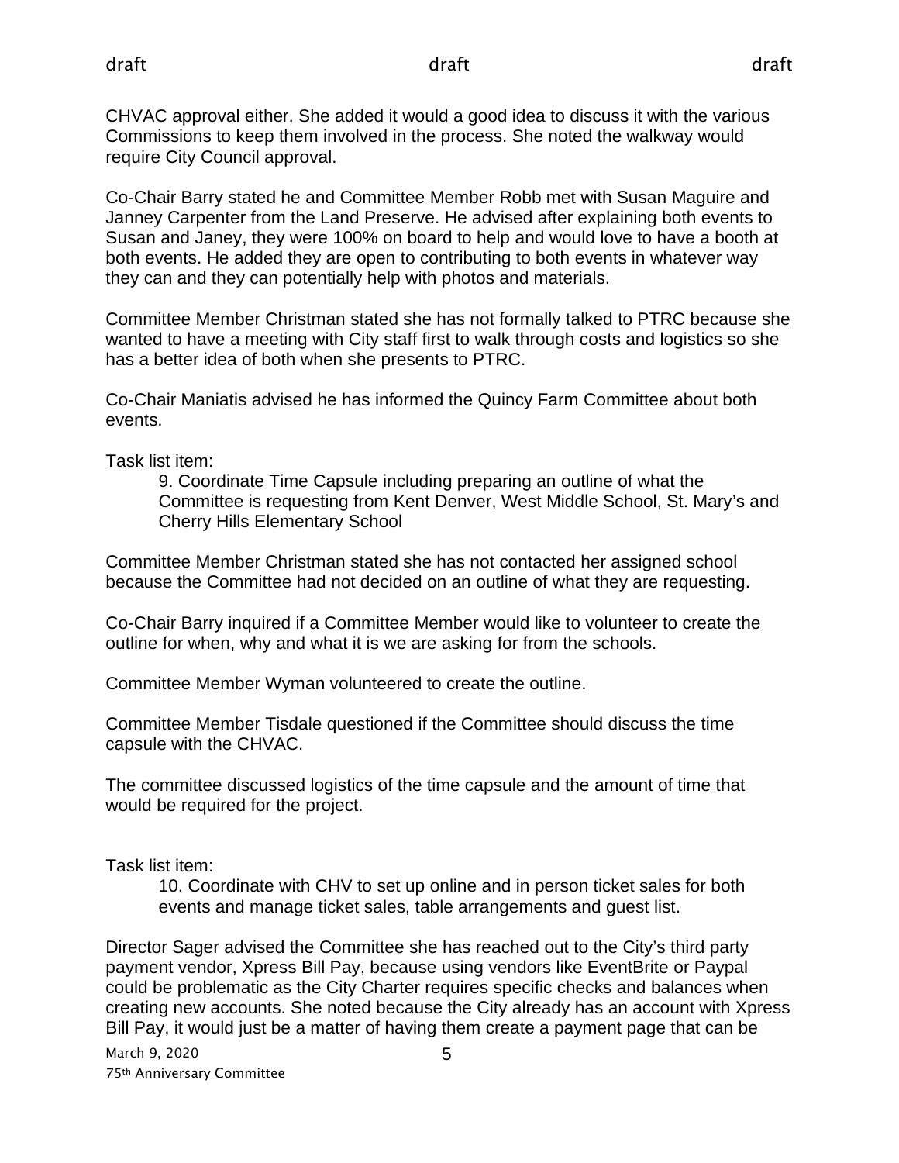CHVAC approval either. She added it would a good idea to discuss it with the various Commissions to keep them involved in the process. She noted the walkway would require City Council approval.

Co-Chair Barry stated he and Committee Member Robb met with Susan Maguire and Janney Carpenter from the Land Preserve. He advised after explaining both events to Susan and Janey, they were 100% on board to help and would love to have a booth at both events. He added they are open to contributing to both events in whatever way they can and they can potentially help with photos and materials.

Committee Member Christman stated she has not formally talked to PTRC because she wanted to have a meeting with City staff first to walk through costs and logistics so she has a better idea of both when she presents to PTRC.

Co-Chair Maniatis advised he has informed the Quincy Farm Committee about both events.

Task list item:

9. Coordinate Time Capsule including preparing an outline of what the Committee is requesting from Kent Denver, West Middle School, St. Mary's and Cherry Hills Elementary School

Committee Member Christman stated she has not contacted her assigned school because the Committee had not decided on an outline of what they are requesting.

Co-Chair Barry inquired if a Committee Member would like to volunteer to create the outline for when, why and what it is we are asking for from the schools.

Committee Member Wyman volunteered to create the outline.

Committee Member Tisdale questioned if the Committee should discuss the time capsule with the CHVAC.

The committee discussed logistics of the time capsule and the amount of time that would be required for the project.

Task list item:

10. Coordinate with CHV to set up online and in person ticket sales for both events and manage ticket sales, table arrangements and guest list.

Director Sager advised the Committee she has reached out to the City's third party payment vendor, Xpress Bill Pay, because using vendors like EventBrite or Paypal could be problematic as the City Charter requires specific checks and balances when creating new accounts. She noted because the City already has an account with Xpress Bill Pay, it would just be a matter of having them create a payment page that can be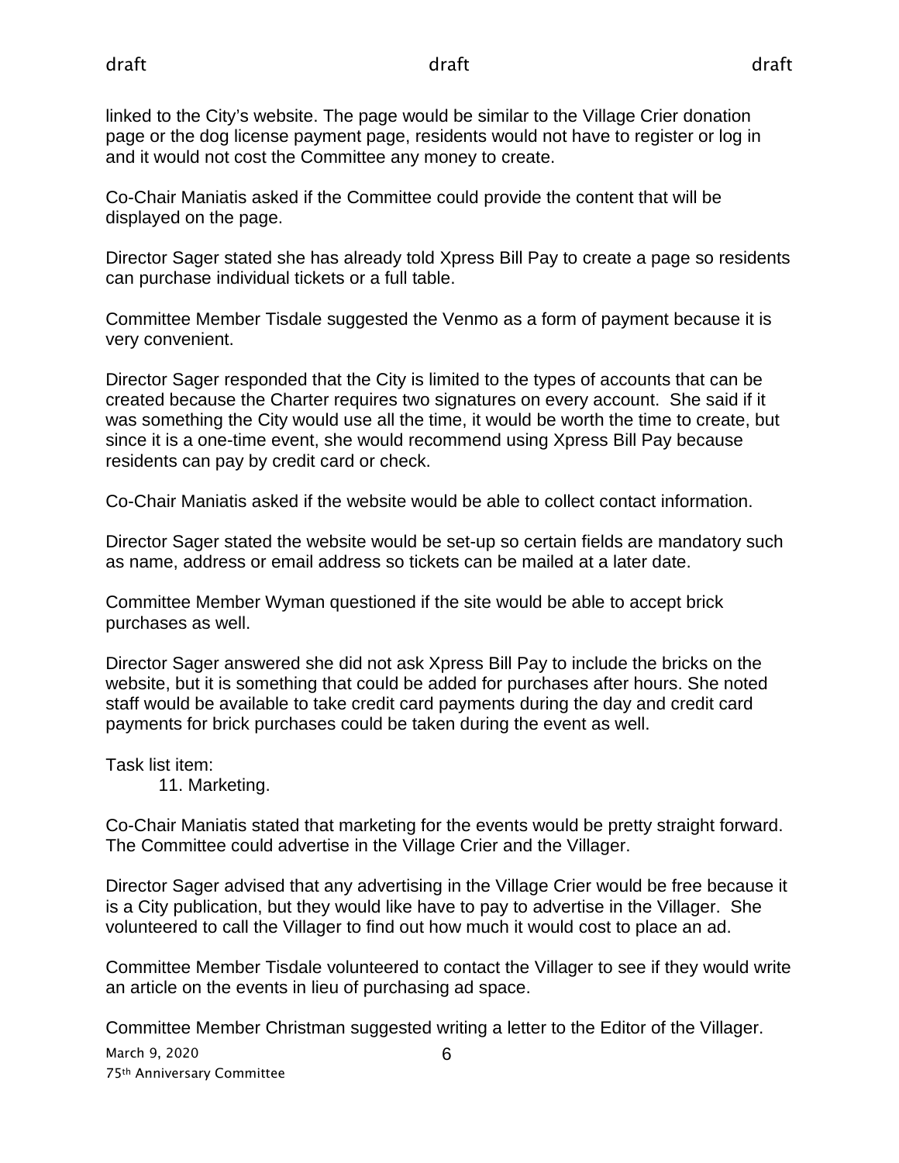linked to the City's website. The page would be similar to the Village Crier donation page or the dog license payment page, residents would not have to register or log in and it would not cost the Committee any money to create.

Co-Chair Maniatis asked if the Committee could provide the content that will be displayed on the page.

Director Sager stated she has already told Xpress Bill Pay to create a page so residents can purchase individual tickets or a full table.

Committee Member Tisdale suggested the Venmo as a form of payment because it is very convenient.

Director Sager responded that the City is limited to the types of accounts that can be created because the Charter requires two signatures on every account. She said if it was something the City would use all the time, it would be worth the time to create, but since it is a one-time event, she would recommend using Xpress Bill Pay because residents can pay by credit card or check.

Co-Chair Maniatis asked if the website would be able to collect contact information.

Director Sager stated the website would be set-up so certain fields are mandatory such as name, address or email address so tickets can be mailed at a later date.

Committee Member Wyman questioned if the site would be able to accept brick purchases as well.

Director Sager answered she did not ask Xpress Bill Pay to include the bricks on the website, but it is something that could be added for purchases after hours. She noted staff would be available to take credit card payments during the day and credit card payments for brick purchases could be taken during the event as well.

Task list item:

11. Marketing.

Co-Chair Maniatis stated that marketing for the events would be pretty straight forward. The Committee could advertise in the Village Crier and the Villager.

Director Sager advised that any advertising in the Village Crier would be free because it is a City publication, but they would like have to pay to advertise in the Villager. She volunteered to call the Villager to find out how much it would cost to place an ad.

Committee Member Tisdale volunteered to contact the Villager to see if they would write an article on the events in lieu of purchasing ad space.

Committee Member Christman suggested writing a letter to the Editor of the Villager.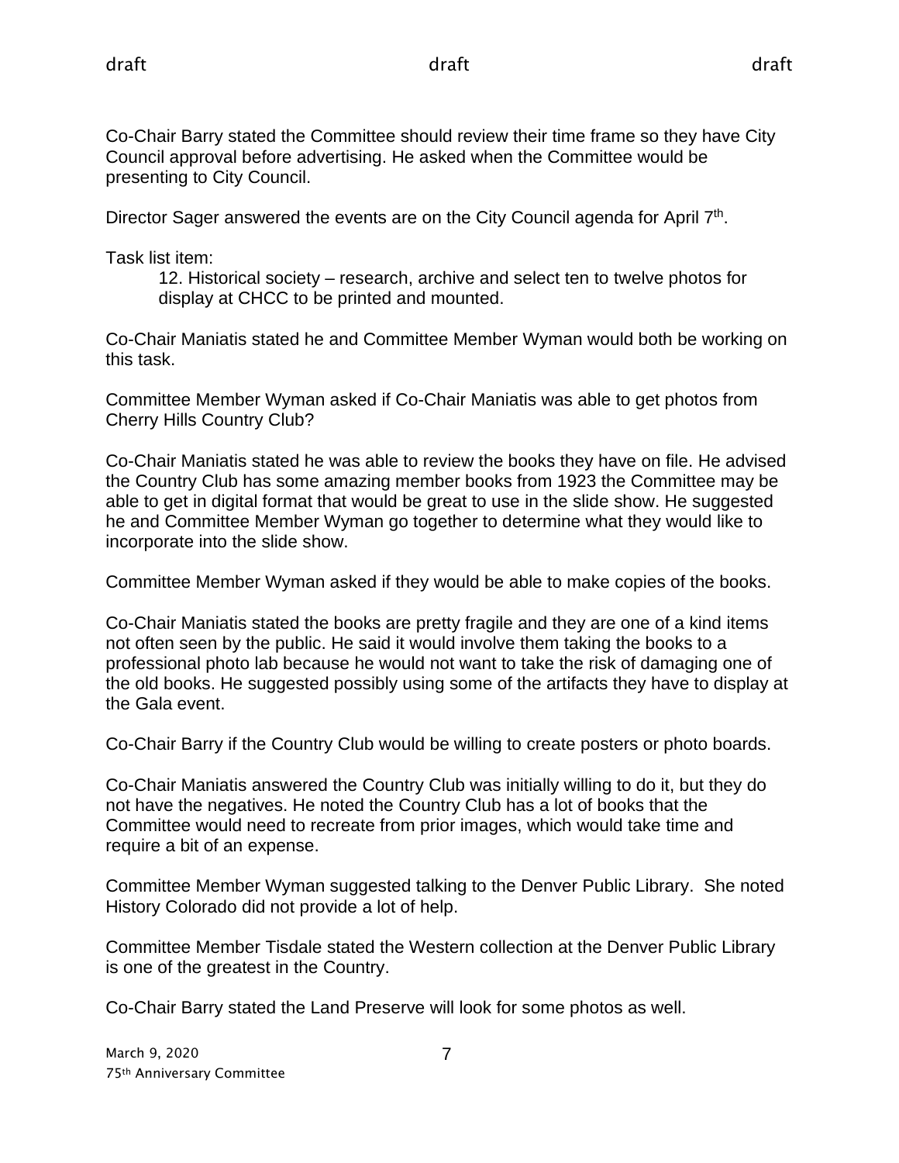Co-Chair Barry stated the Committee should review their time frame so they have City Council approval before advertising. He asked when the Committee would be presenting to City Council.

Director Sager answered the events are on the City Council agenda for April  $7<sup>th</sup>$ .

Task list item:

12. Historical society – research, archive and select ten to twelve photos for display at CHCC to be printed and mounted.

Co-Chair Maniatis stated he and Committee Member Wyman would both be working on this task.

Committee Member Wyman asked if Co-Chair Maniatis was able to get photos from Cherry Hills Country Club?

Co-Chair Maniatis stated he was able to review the books they have on file. He advised the Country Club has some amazing member books from 1923 the Committee may be able to get in digital format that would be great to use in the slide show. He suggested he and Committee Member Wyman go together to determine what they would like to incorporate into the slide show.

Committee Member Wyman asked if they would be able to make copies of the books.

Co-Chair Maniatis stated the books are pretty fragile and they are one of a kind items not often seen by the public. He said it would involve them taking the books to a professional photo lab because he would not want to take the risk of damaging one of the old books. He suggested possibly using some of the artifacts they have to display at the Gala event.

Co-Chair Barry if the Country Club would be willing to create posters or photo boards.

Co-Chair Maniatis answered the Country Club was initially willing to do it, but they do not have the negatives. He noted the Country Club has a lot of books that the Committee would need to recreate from prior images, which would take time and require a bit of an expense.

Committee Member Wyman suggested talking to the Denver Public Library. She noted History Colorado did not provide a lot of help.

Committee Member Tisdale stated the Western collection at the Denver Public Library is one of the greatest in the Country.

Co-Chair Barry stated the Land Preserve will look for some photos as well.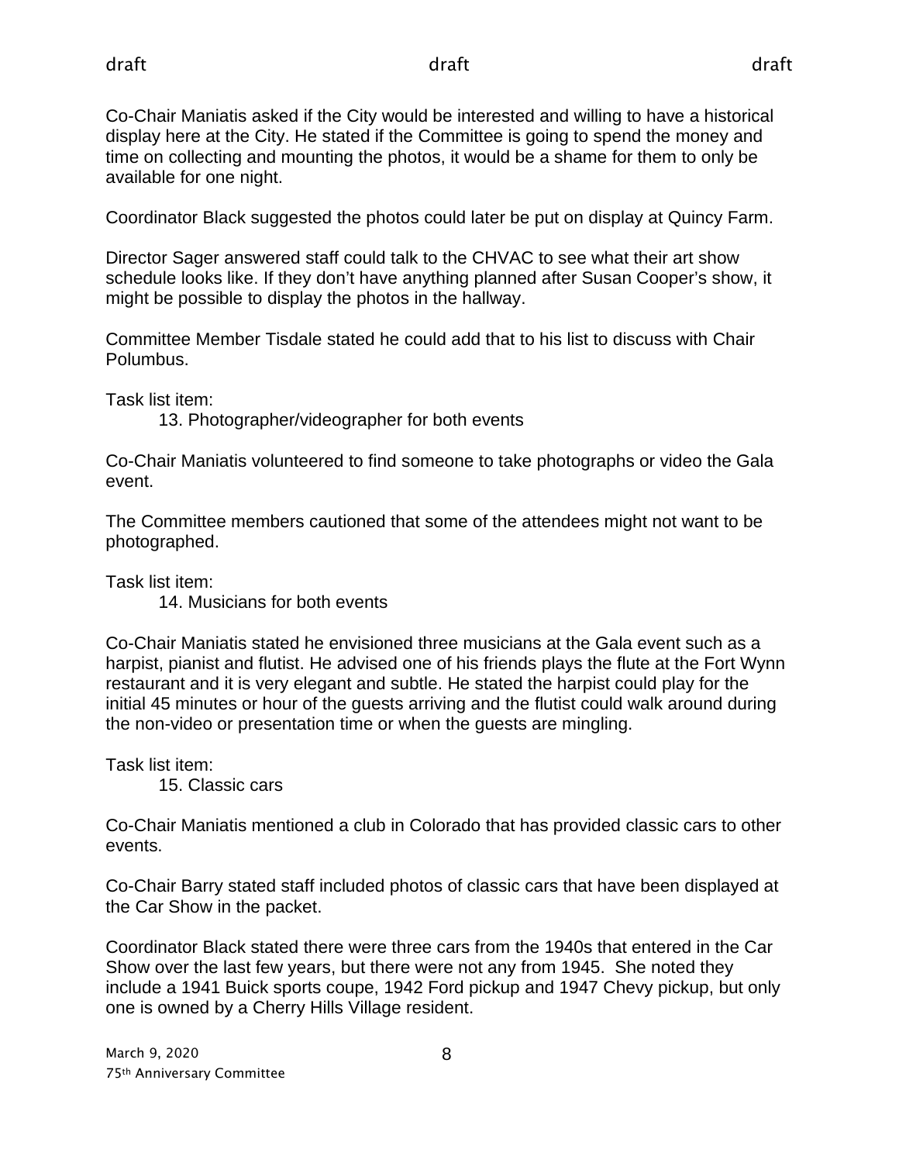Co-Chair Maniatis asked if the City would be interested and willing to have a historical display here at the City. He stated if the Committee is going to spend the money and time on collecting and mounting the photos, it would be a shame for them to only be available for one night.

Coordinator Black suggested the photos could later be put on display at Quincy Farm.

Director Sager answered staff could talk to the CHVAC to see what their art show schedule looks like. If they don't have anything planned after Susan Cooper's show, it might be possible to display the photos in the hallway.

Committee Member Tisdale stated he could add that to his list to discuss with Chair Polumbus.

Task list item:

13. Photographer/videographer for both events

Co-Chair Maniatis volunteered to find someone to take photographs or video the Gala event.

The Committee members cautioned that some of the attendees might not want to be photographed.

Task list item:

14. Musicians for both events

Co-Chair Maniatis stated he envisioned three musicians at the Gala event such as a harpist, pianist and flutist. He advised one of his friends plays the flute at the Fort Wynn restaurant and it is very elegant and subtle. He stated the harpist could play for the initial 45 minutes or hour of the guests arriving and the flutist could walk around during the non-video or presentation time or when the guests are mingling.

Task list item:

15. Classic cars

Co-Chair Maniatis mentioned a club in Colorado that has provided classic cars to other events.

Co-Chair Barry stated staff included photos of classic cars that have been displayed at the Car Show in the packet.

Coordinator Black stated there were three cars from the 1940s that entered in the Car Show over the last few years, but there were not any from 1945. She noted they include a 1941 Buick sports coupe, 1942 Ford pickup and 1947 Chevy pickup, but only one is owned by a Cherry Hills Village resident.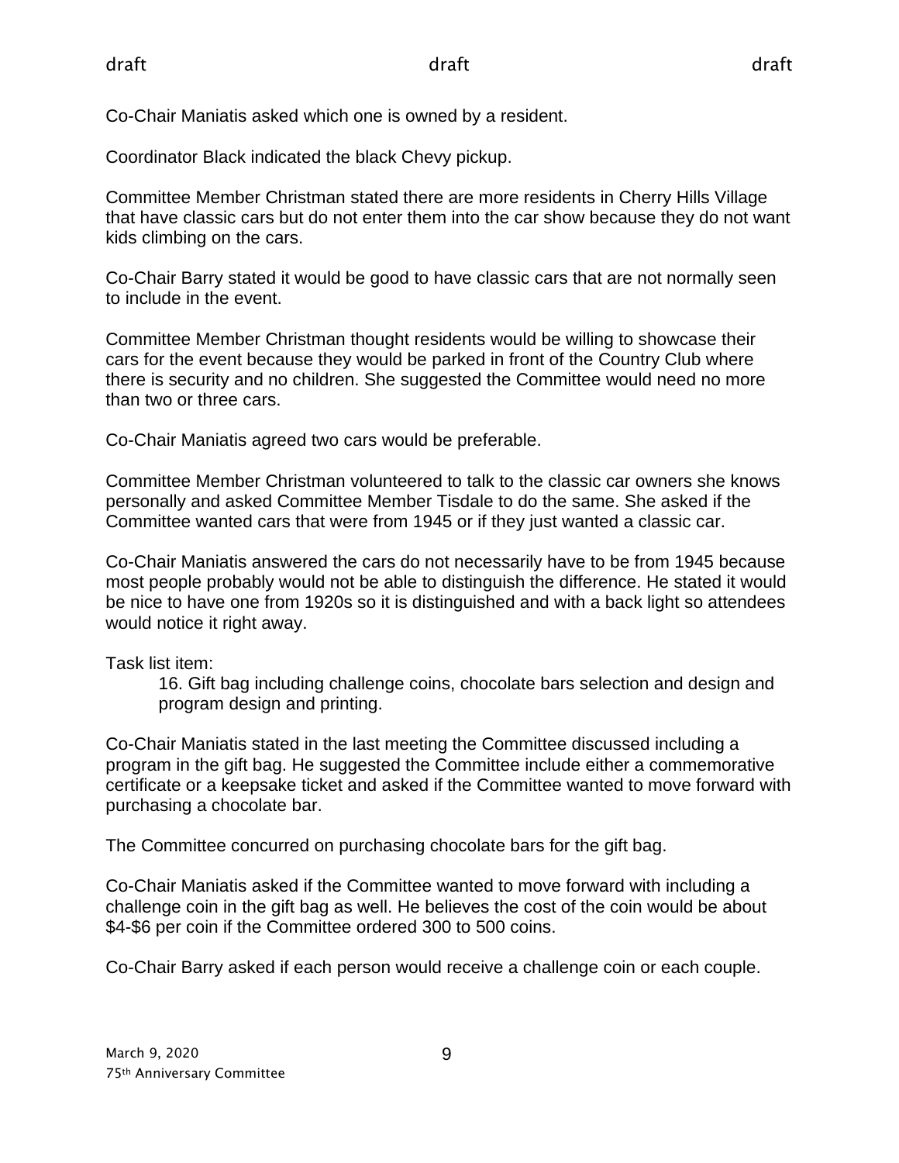Co-Chair Maniatis asked which one is owned by a resident.

Coordinator Black indicated the black Chevy pickup.

Committee Member Christman stated there are more residents in Cherry Hills Village that have classic cars but do not enter them into the car show because they do not want kids climbing on the cars.

Co-Chair Barry stated it would be good to have classic cars that are not normally seen to include in the event.

Committee Member Christman thought residents would be willing to showcase their cars for the event because they would be parked in front of the Country Club where there is security and no children. She suggested the Committee would need no more than two or three cars.

Co-Chair Maniatis agreed two cars would be preferable.

Committee Member Christman volunteered to talk to the classic car owners she knows personally and asked Committee Member Tisdale to do the same. She asked if the Committee wanted cars that were from 1945 or if they just wanted a classic car.

Co-Chair Maniatis answered the cars do not necessarily have to be from 1945 because most people probably would not be able to distinguish the difference. He stated it would be nice to have one from 1920s so it is distinguished and with a back light so attendees would notice it right away.

Task list item:

16. Gift bag including challenge coins, chocolate bars selection and design and program design and printing.

Co-Chair Maniatis stated in the last meeting the Committee discussed including a program in the gift bag. He suggested the Committee include either a commemorative certificate or a keepsake ticket and asked if the Committee wanted to move forward with purchasing a chocolate bar.

The Committee concurred on purchasing chocolate bars for the gift bag.

Co-Chair Maniatis asked if the Committee wanted to move forward with including a challenge coin in the gift bag as well. He believes the cost of the coin would be about \$4-\$6 per coin if the Committee ordered 300 to 500 coins.

Co-Chair Barry asked if each person would receive a challenge coin or each couple.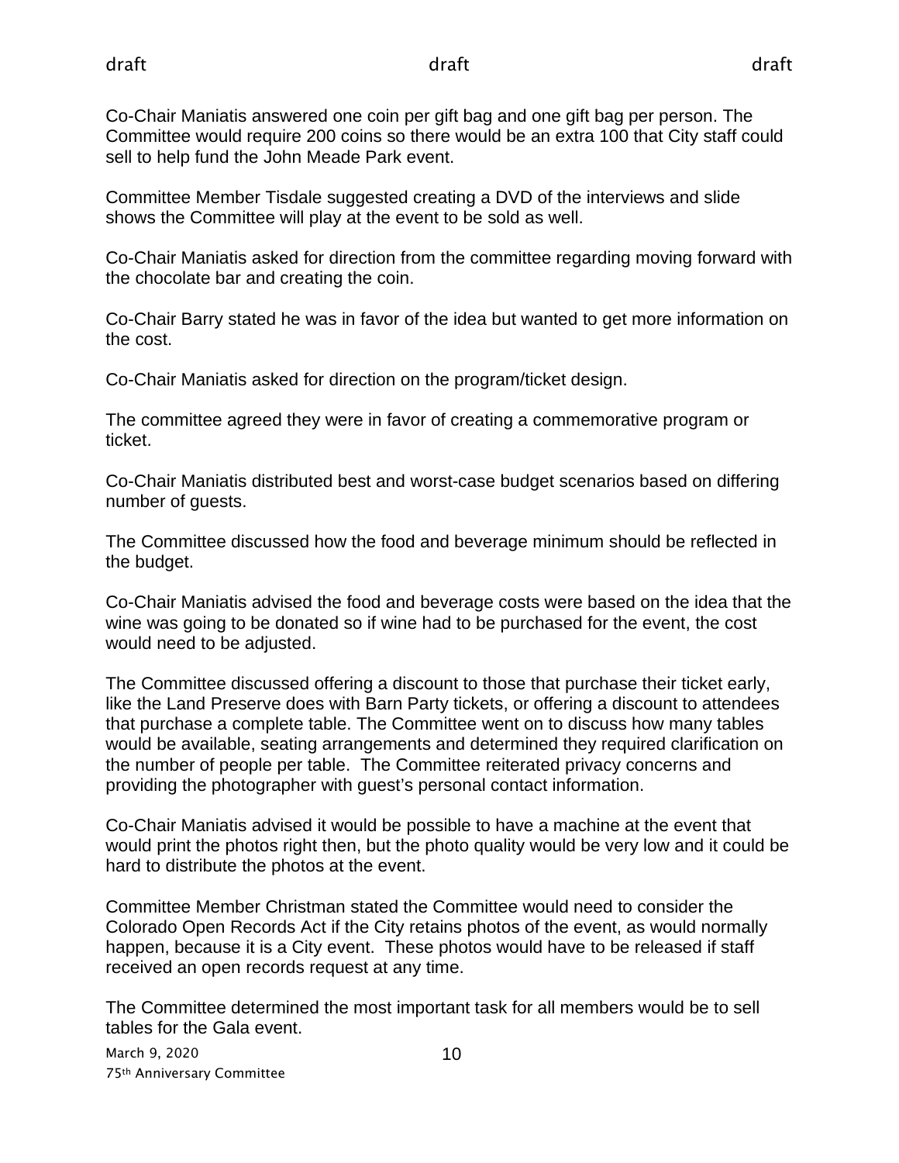Co-Chair Maniatis answered one coin per gift bag and one gift bag per person. The Committee would require 200 coins so there would be an extra 100 that City staff could sell to help fund the John Meade Park event.

Committee Member Tisdale suggested creating a DVD of the interviews and slide shows the Committee will play at the event to be sold as well.

Co-Chair Maniatis asked for direction from the committee regarding moving forward with the chocolate bar and creating the coin.

Co-Chair Barry stated he was in favor of the idea but wanted to get more information on the cost.

Co-Chair Maniatis asked for direction on the program/ticket design.

The committee agreed they were in favor of creating a commemorative program or ticket.

Co-Chair Maniatis distributed best and worst-case budget scenarios based on differing number of guests.

The Committee discussed how the food and beverage minimum should be reflected in the budget.

Co-Chair Maniatis advised the food and beverage costs were based on the idea that the wine was going to be donated so if wine had to be purchased for the event, the cost would need to be adjusted.

The Committee discussed offering a discount to those that purchase their ticket early, like the Land Preserve does with Barn Party tickets, or offering a discount to attendees that purchase a complete table. The Committee went on to discuss how many tables would be available, seating arrangements and determined they required clarification on the number of people per table. The Committee reiterated privacy concerns and providing the photographer with guest's personal contact information.

Co-Chair Maniatis advised it would be possible to have a machine at the event that would print the photos right then, but the photo quality would be very low and it could be hard to distribute the photos at the event.

Committee Member Christman stated the Committee would need to consider the Colorado Open Records Act if the City retains photos of the event, as would normally happen, because it is a City event. These photos would have to be released if staff received an open records request at any time.

The Committee determined the most important task for all members would be to sell tables for the Gala event.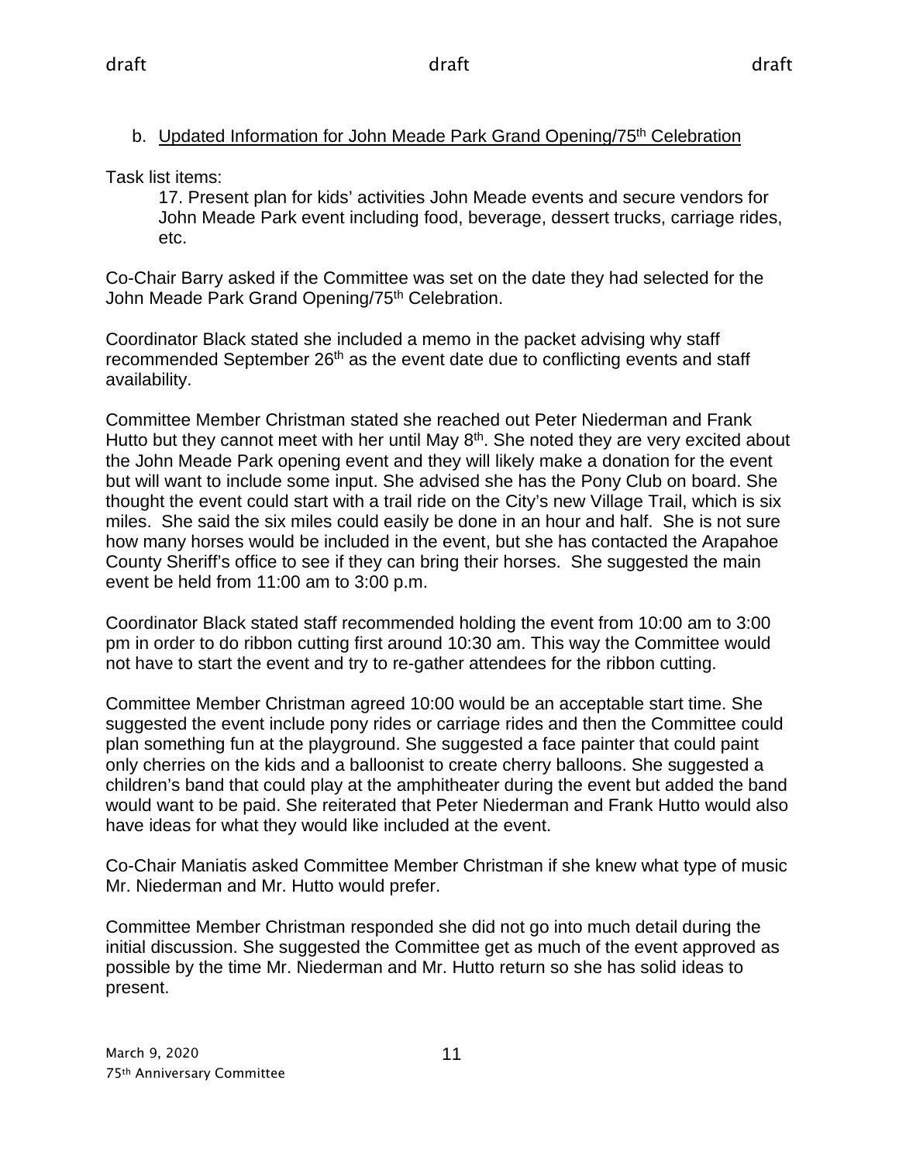### b. Updated Information for John Meade Park Grand Opening/75<sup>th</sup> Celebration

Task list items:

17. Present plan for kids' activities John Meade events and secure vendors for John Meade Park event including food, beverage, dessert trucks, carriage rides, etc.

Co-Chair Barry asked if the Committee was set on the date they had selected for the John Meade Park Grand Opening/75<sup>th</sup> Celebration.

Coordinator Black stated she included a memo in the packet advising why staff recommended September 26<sup>th</sup> as the event date due to conflicting events and staff availability.

Committee Member Christman stated she reached out Peter Niederman and Frank Hutto but they cannot meet with her until May 8<sup>th</sup>. She noted they are very excited about the John Meade Park opening event and they will likely make a donation for the event but will want to include some input. She advised she has the Pony Club on board. She thought the event could start with a trail ride on the City's new Village Trail, which is six miles. She said the six miles could easily be done in an hour and half. She is not sure how many horses would be included in the event, but she has contacted the Arapahoe County Sheriff's office to see if they can bring their horses. She suggested the main event be held from 11:00 am to 3:00 p.m.

Coordinator Black stated staff recommended holding the event from 10:00 am to 3:00 pm in order to do ribbon cutting first around 10:30 am. This way the Committee would not have to start the event and try to re-gather attendees for the ribbon cutting.

Committee Member Christman agreed 10:00 would be an acceptable start time. She suggested the event include pony rides or carriage rides and then the Committee could plan something fun at the playground. She suggested a face painter that could paint only cherries on the kids and a balloonist to create cherry balloons. She suggested a children's band that could play at the amphitheater during the event but added the band would want to be paid. She reiterated that Peter Niederman and Frank Hutto would also have ideas for what they would like included at the event.

Co-Chair Maniatis asked Committee Member Christman if she knew what type of music Mr. Niederman and Mr. Hutto would prefer.

Committee Member Christman responded she did not go into much detail during the initial discussion. She suggested the Committee get as much of the event approved as possible by the time Mr. Niederman and Mr. Hutto return so she has solid ideas to present.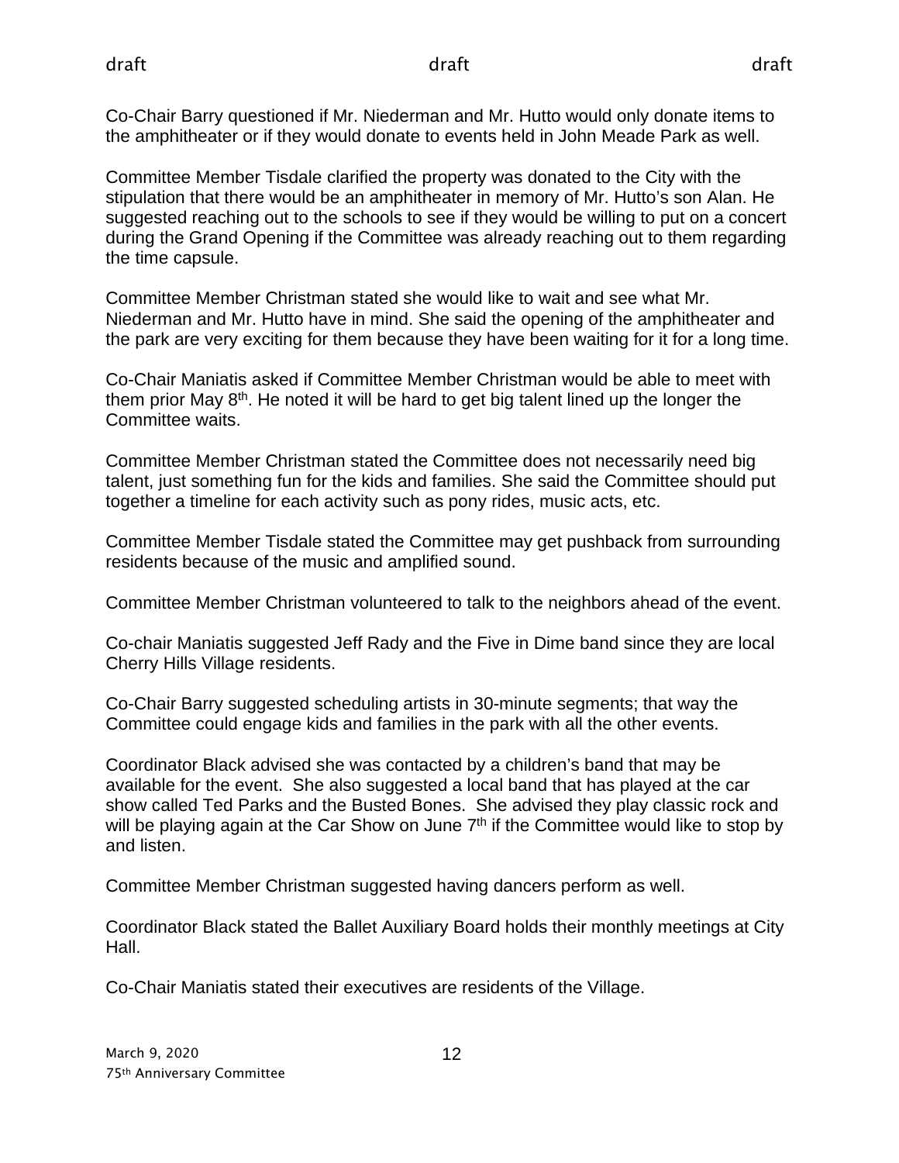Co-Chair Barry questioned if Mr. Niederman and Mr. Hutto would only donate items to the amphitheater or if they would donate to events held in John Meade Park as well.

Committee Member Tisdale clarified the property was donated to the City with the stipulation that there would be an amphitheater in memory of Mr. Hutto's son Alan. He suggested reaching out to the schools to see if they would be willing to put on a concert during the Grand Opening if the Committee was already reaching out to them regarding the time capsule.

Committee Member Christman stated she would like to wait and see what Mr. Niederman and Mr. Hutto have in mind. She said the opening of the amphitheater and the park are very exciting for them because they have been waiting for it for a long time.

Co-Chair Maniatis asked if Committee Member Christman would be able to meet with them prior May  $8<sup>th</sup>$ . He noted it will be hard to get big talent lined up the longer the Committee waits.

Committee Member Christman stated the Committee does not necessarily need big talent, just something fun for the kids and families. She said the Committee should put together a timeline for each activity such as pony rides, music acts, etc.

Committee Member Tisdale stated the Committee may get pushback from surrounding residents because of the music and amplified sound.

Committee Member Christman volunteered to talk to the neighbors ahead of the event.

Co-chair Maniatis suggested Jeff Rady and the Five in Dime band since they are local Cherry Hills Village residents.

Co-Chair Barry suggested scheduling artists in 30-minute segments; that way the Committee could engage kids and families in the park with all the other events.

Coordinator Black advised she was contacted by a children's band that may be available for the event. She also suggested a local band that has played at the car show called Ted Parks and the Busted Bones. She advised they play classic rock and will be playing again at the Car Show on June  $7<sup>th</sup>$  if the Committee would like to stop by and listen.

Committee Member Christman suggested having dancers perform as well.

Coordinator Black stated the Ballet Auxiliary Board holds their monthly meetings at City Hall.

Co-Chair Maniatis stated their executives are residents of the Village.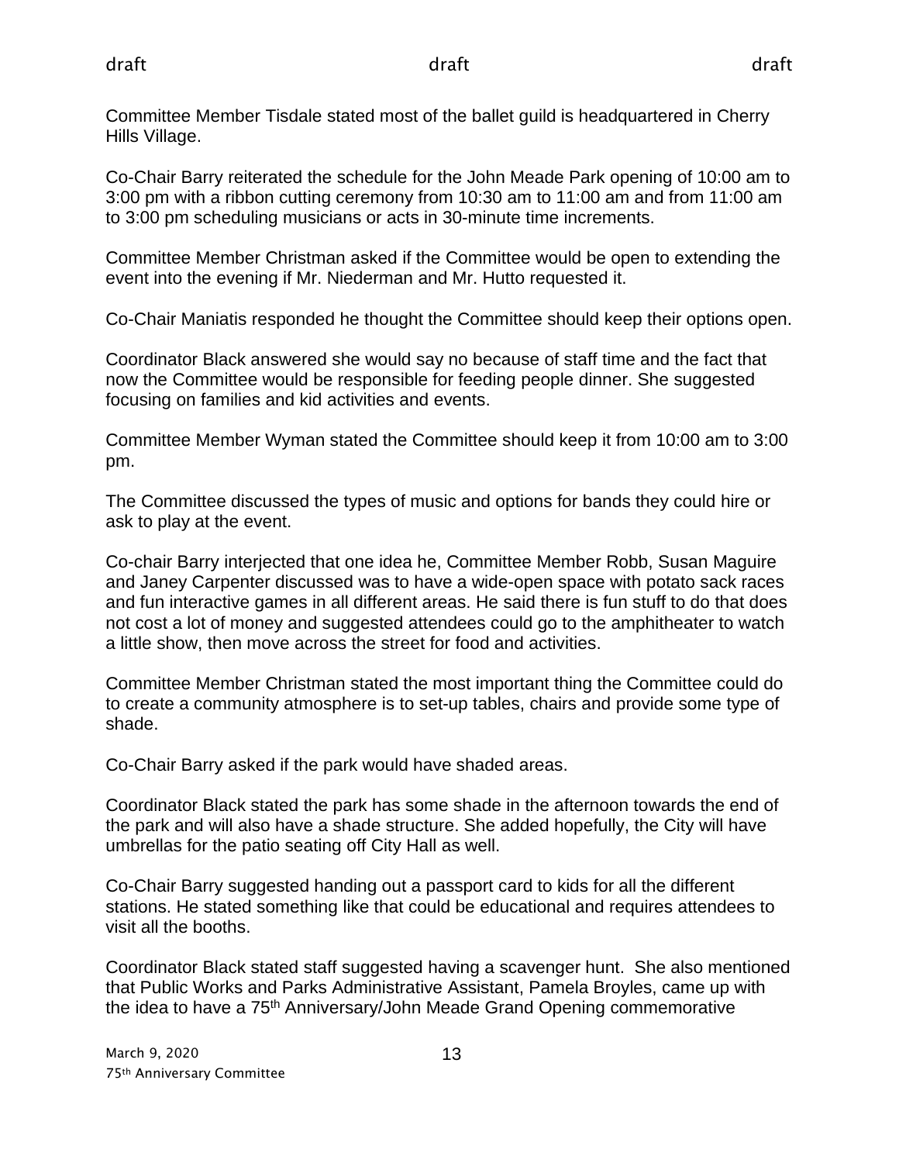Committee Member Tisdale stated most of the ballet guild is headquartered in Cherry Hills Village.

Co-Chair Barry reiterated the schedule for the John Meade Park opening of 10:00 am to 3:00 pm with a ribbon cutting ceremony from 10:30 am to 11:00 am and from 11:00 am to 3:00 pm scheduling musicians or acts in 30-minute time increments.

Committee Member Christman asked if the Committee would be open to extending the event into the evening if Mr. Niederman and Mr. Hutto requested it.

Co-Chair Maniatis responded he thought the Committee should keep their options open.

Coordinator Black answered she would say no because of staff time and the fact that now the Committee would be responsible for feeding people dinner. She suggested focusing on families and kid activities and events.

Committee Member Wyman stated the Committee should keep it from 10:00 am to 3:00 pm.

The Committee discussed the types of music and options for bands they could hire or ask to play at the event.

Co-chair Barry interjected that one idea he, Committee Member Robb, Susan Maguire and Janey Carpenter discussed was to have a wide-open space with potato sack races and fun interactive games in all different areas. He said there is fun stuff to do that does not cost a lot of money and suggested attendees could go to the amphitheater to watch a little show, then move across the street for food and activities.

Committee Member Christman stated the most important thing the Committee could do to create a community atmosphere is to set-up tables, chairs and provide some type of shade.

Co-Chair Barry asked if the park would have shaded areas.

Coordinator Black stated the park has some shade in the afternoon towards the end of the park and will also have a shade structure. She added hopefully, the City will have umbrellas for the patio seating off City Hall as well.

Co-Chair Barry suggested handing out a passport card to kids for all the different stations. He stated something like that could be educational and requires attendees to visit all the booths.

Coordinator Black stated staff suggested having a scavenger hunt. She also mentioned that Public Works and Parks Administrative Assistant, Pamela Broyles, came up with the idea to have a 75th Anniversary/John Meade Grand Opening commemorative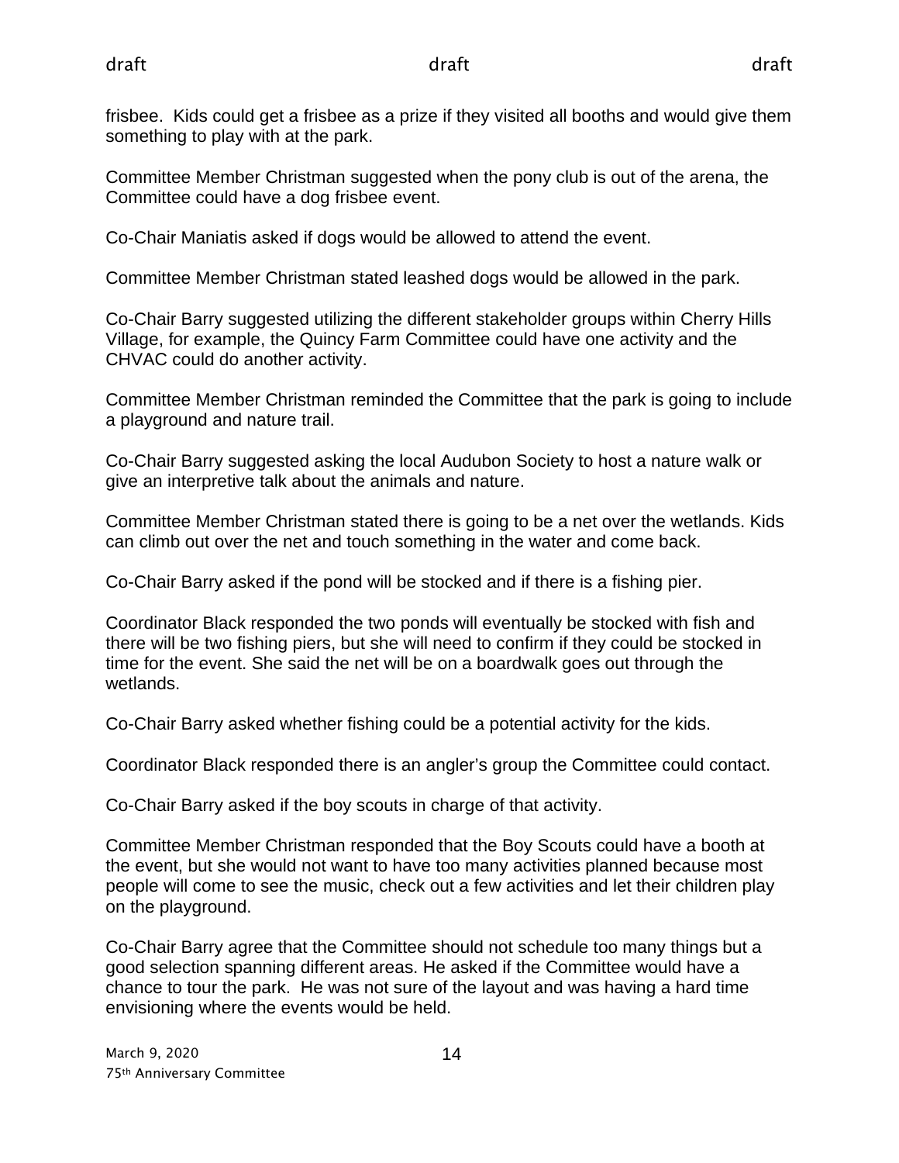frisbee. Kids could get a frisbee as a prize if they visited all booths and would give them something to play with at the park.

Committee Member Christman suggested when the pony club is out of the arena, the Committee could have a dog frisbee event.

Co-Chair Maniatis asked if dogs would be allowed to attend the event.

Committee Member Christman stated leashed dogs would be allowed in the park.

Co-Chair Barry suggested utilizing the different stakeholder groups within Cherry Hills Village, for example, the Quincy Farm Committee could have one activity and the CHVAC could do another activity.

Committee Member Christman reminded the Committee that the park is going to include a playground and nature trail.

Co-Chair Barry suggested asking the local Audubon Society to host a nature walk or give an interpretive talk about the animals and nature.

Committee Member Christman stated there is going to be a net over the wetlands. Kids can climb out over the net and touch something in the water and come back.

Co-Chair Barry asked if the pond will be stocked and if there is a fishing pier.

Coordinator Black responded the two ponds will eventually be stocked with fish and there will be two fishing piers, but she will need to confirm if they could be stocked in time for the event. She said the net will be on a boardwalk goes out through the wetlands.

Co-Chair Barry asked whether fishing could be a potential activity for the kids.

Coordinator Black responded there is an angler's group the Committee could contact.

Co-Chair Barry asked if the boy scouts in charge of that activity.

Committee Member Christman responded that the Boy Scouts could have a booth at the event, but she would not want to have too many activities planned because most people will come to see the music, check out a few activities and let their children play on the playground.

Co-Chair Barry agree that the Committee should not schedule too many things but a good selection spanning different areas. He asked if the Committee would have a chance to tour the park. He was not sure of the layout and was having a hard time envisioning where the events would be held.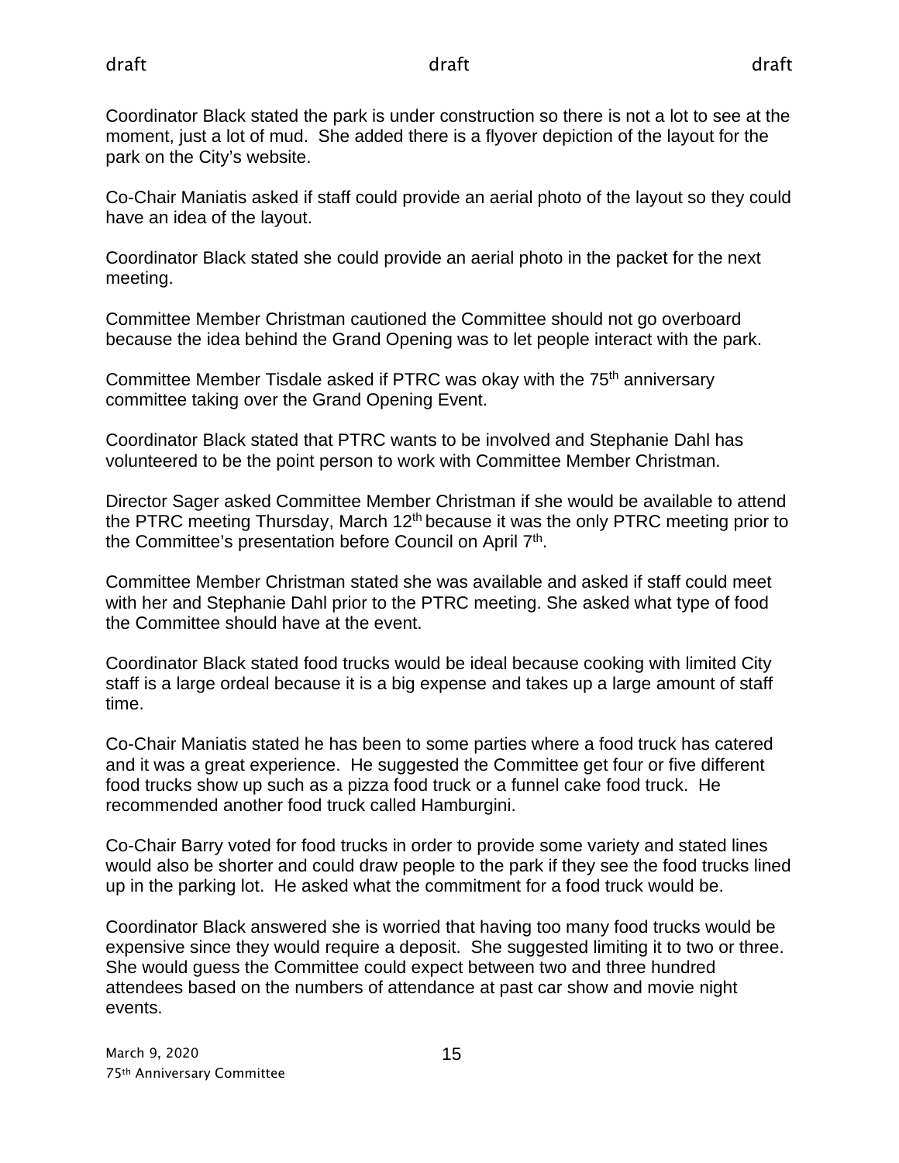Coordinator Black stated the park is under construction so there is not a lot to see at the moment, just a lot of mud. She added there is a flyover depiction of the layout for the park on the City's website.

Co-Chair Maniatis asked if staff could provide an aerial photo of the layout so they could have an idea of the layout.

Coordinator Black stated she could provide an aerial photo in the packet for the next meeting.

Committee Member Christman cautioned the Committee should not go overboard because the idea behind the Grand Opening was to let people interact with the park.

Committee Member Tisdale asked if PTRC was okay with the 75<sup>th</sup> anniversary committee taking over the Grand Opening Event.

Coordinator Black stated that PTRC wants to be involved and Stephanie Dahl has volunteered to be the point person to work with Committee Member Christman.

Director Sager asked Committee Member Christman if she would be available to attend the PTRC meeting Thursday, March 12<sup>th</sup> because it was the only PTRC meeting prior to the Committee's presentation before Council on April 7<sup>th</sup>.

Committee Member Christman stated she was available and asked if staff could meet with her and Stephanie Dahl prior to the PTRC meeting. She asked what type of food the Committee should have at the event.

Coordinator Black stated food trucks would be ideal because cooking with limited City staff is a large ordeal because it is a big expense and takes up a large amount of staff time.

Co-Chair Maniatis stated he has been to some parties where a food truck has catered and it was a great experience. He suggested the Committee get four or five different food trucks show up such as a pizza food truck or a funnel cake food truck. He recommended another food truck called Hamburgini.

Co-Chair Barry voted for food trucks in order to provide some variety and stated lines would also be shorter and could draw people to the park if they see the food trucks lined up in the parking lot. He asked what the commitment for a food truck would be.

Coordinator Black answered she is worried that having too many food trucks would be expensive since they would require a deposit. She suggested limiting it to two or three. She would guess the Committee could expect between two and three hundred attendees based on the numbers of attendance at past car show and movie night events.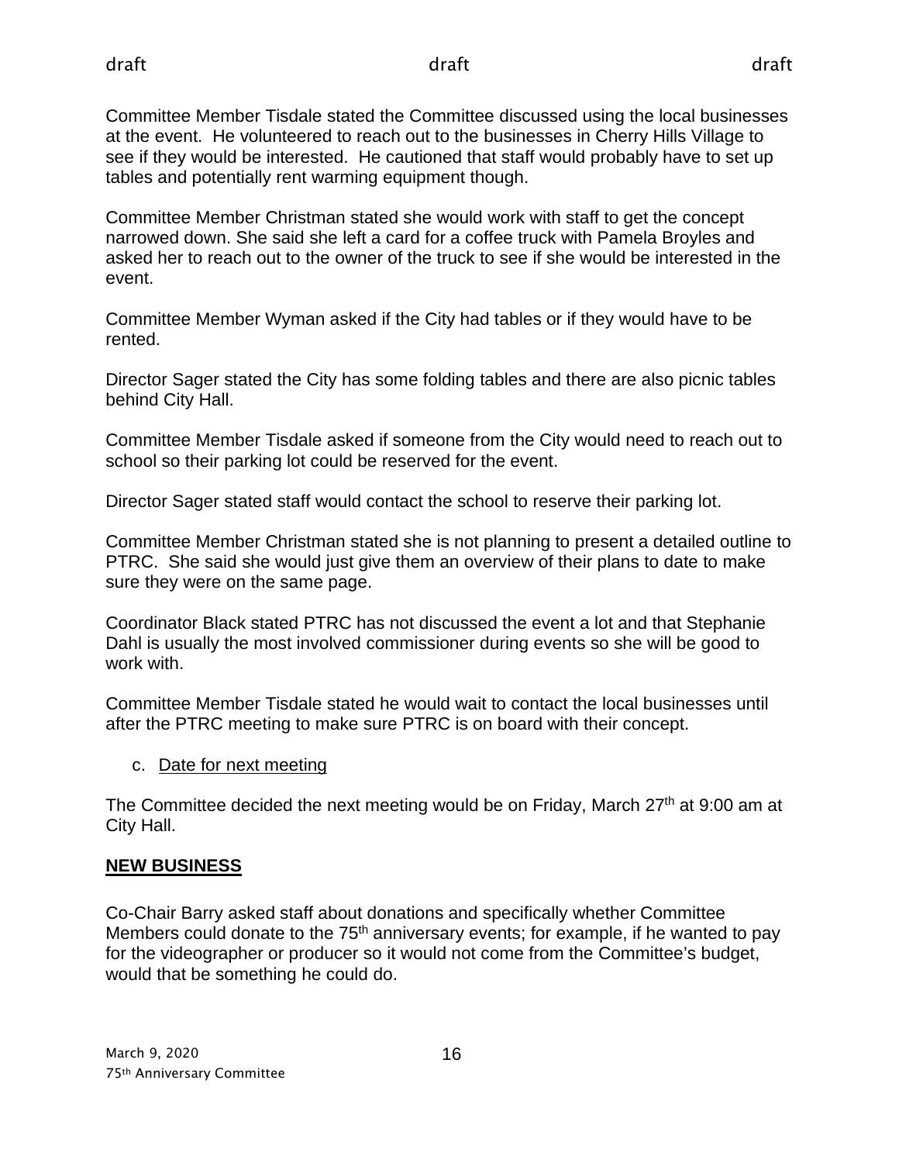Committee Member Tisdale stated the Committee discussed using the local businesses at the event. He volunteered to reach out to the businesses in Cherry Hills Village to see if they would be interested. He cautioned that staff would probably have to set up tables and potentially rent warming equipment though.

Committee Member Christman stated she would work with staff to get the concept narrowed down. She said she left a card for a coffee truck with Pamela Broyles and asked her to reach out to the owner of the truck to see if she would be interested in the event.

Committee Member Wyman asked if the City had tables or if they would have to be rented.

Director Sager stated the City has some folding tables and there are also picnic tables behind City Hall.

Committee Member Tisdale asked if someone from the City would need to reach out to school so their parking lot could be reserved for the event.

Director Sager stated staff would contact the school to reserve their parking lot.

Committee Member Christman stated she is not planning to present a detailed outline to PTRC. She said she would just give them an overview of their plans to date to make sure they were on the same page.

Coordinator Black stated PTRC has not discussed the event a lot and that Stephanie Dahl is usually the most involved commissioner during events so she will be good to work with.

Committee Member Tisdale stated he would wait to contact the local businesses until after the PTRC meeting to make sure PTRC is on board with their concept.

c. Date for next meeting

The Committee decided the next meeting would be on Friday, March  $27<sup>th</sup>$  at 9:00 am at City Hall.

# **NEW BUSINESS**

Co-Chair Barry asked staff about donations and specifically whether Committee Members could donate to the  $75<sup>th</sup>$  anniversary events; for example, if he wanted to pay for the videographer or producer so it would not come from the Committee's budget, would that be something he could do.